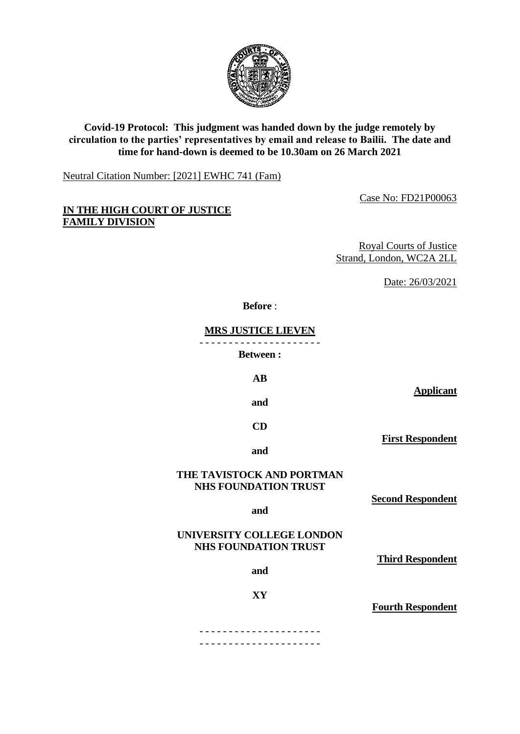

# **Covid-19 Protocol: This judgment was handed down by the judge remotely by circulation to the parties' representatives by email and release to Bailii. The date and time for hand-down is deemed to be 10.30am on 26 March 2021**

Neutral Citation Number: [2021] EWHC 741 (Fam)

Case No: FD21P00063

# **IN THE HIGH COURT OF JUSTICE FAMILY DIVISION**

Royal Courts of Justice Strand, London, WC2A 2LL

Date: 26/03/2021

# **Before** :

**MRS JUSTICE LIEVEN**

- - - - - - - - - - - - - - - - - - - - -

**Between :**

**AB**

**and**

**CD**

**First Respondent**

**and**

#### **THE TAVISTOCK AND PORTMAN NHS FOUNDATION TRUST**

**Second Respondent**

**and**

#### **UNIVERSITY COLLEGE LONDON NHS FOUNDATION TRUST**

**Third Respondent**

**and**

#### **XY**

. <u>- - - - - - - - - - - - - - - -</u> -- - - - - - - - - - - - - - - - - - - - - **Fourth Respondent**

**Applicant**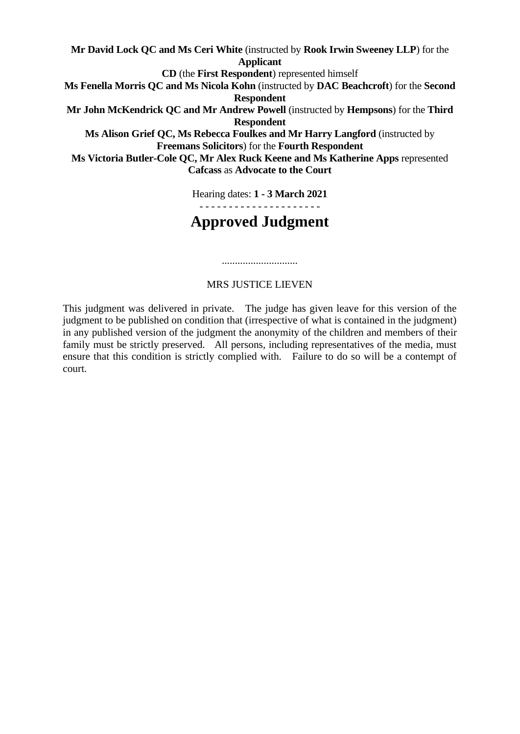**Mr David Lock QC and Ms Ceri White** (instructed by **Rook Irwin Sweeney LLP**) for the **Applicant CD** (the **First Respondent**) represented himself **Ms Fenella Morris QC and Ms Nicola Kohn** (instructed by **DAC Beachcroft**) for the **Second Respondent Mr John McKendrick QC and Mr Andrew Powell** (instructed by **Hempsons**) for the **Third Respondent Ms Alison Grief QC, Ms Rebecca Foulkes and Mr Harry Langford** (instructed by **Freemans Solicitors**) for the **Fourth Respondent Ms Victoria Butler-Cole QC, Mr Alex Ruck Keene and Ms Katherine Apps** represented **Cafcass** as **Advocate to the Court**

> Hearing dates: **1 - 3 March 2021** - - - - - - - - - - - - - - - - - - - - -

# **Approved Judgment**

# MRS JUSTICE LIEVEN

.............................

This judgment was delivered in private. The judge has given leave for this version of the judgment to be published on condition that (irrespective of what is contained in the judgment) in any published version of the judgment the anonymity of the children and members of their family must be strictly preserved. All persons, including representatives of the media, must ensure that this condition is strictly complied with. Failure to do so will be a contempt of court.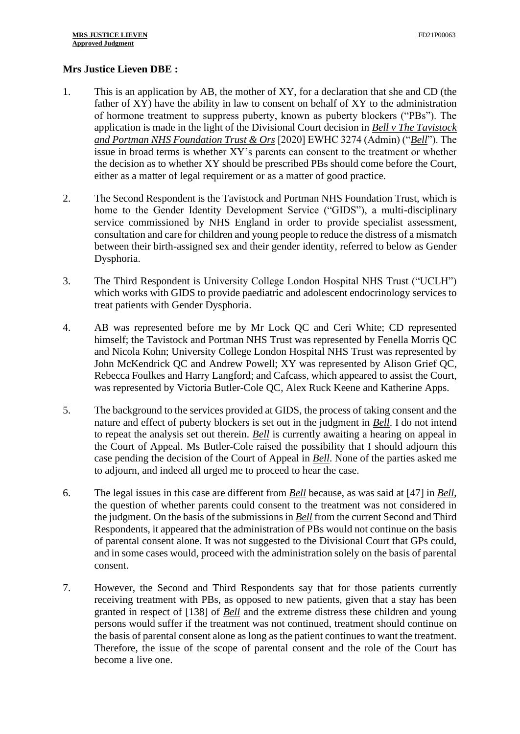# **Mrs Justice Lieven DBE :**

- 1. This is an application by AB, the mother of XY, for a declaration that she and CD (the father of XY) have the ability in law to consent on behalf of XY to the administration of hormone treatment to suppress puberty, known as puberty blockers ("PBs"). The application is made in the light of the Divisional Court decision in *Bell v The Tavistock and Portman NHS Foundation Trust & Ors* [2020] EWHC 3274 (Admin) ("*Bell*"). The issue in broad terms is whether XY's parents can consent to the treatment or whether the decision as to whether XY should be prescribed PBs should come before the Court, either as a matter of legal requirement or as a matter of good practice.
- 2. The Second Respondent is the Tavistock and Portman NHS Foundation Trust, which is home to the Gender Identity Development Service ("GIDS"), a multi-disciplinary service commissioned by NHS England in order to provide specialist assessment, consultation and care for children and young people to reduce the distress of a mismatch between their birth-assigned sex and their gender identity, referred to below as Gender Dysphoria.
- 3. The Third Respondent is University College London Hospital NHS Trust ("UCLH") which works with GIDS to provide paediatric and adolescent endocrinology services to treat patients with Gender Dysphoria.
- 4. AB was represented before me by Mr Lock QC and Ceri White; CD represented himself; the Tavistock and Portman NHS Trust was represented by Fenella Morris QC and Nicola Kohn; University College London Hospital NHS Trust was represented by John McKendrick QC and Andrew Powell; XY was represented by Alison Grief QC, Rebecca Foulkes and Harry Langford; and Cafcass, which appeared to assist the Court, was represented by Victoria Butler-Cole QC, Alex Ruck Keene and Katherine Apps.
- 5. The background to the services provided at GIDS, the process of taking consent and the nature and effect of puberty blockers is set out in the judgment in *Bell*. I do not intend to repeat the analysis set out therein. *Bell* is currently awaiting a hearing on appeal in the Court of Appeal. Ms Butler-Cole raised the possibility that I should adjourn this case pending the decision of the Court of Appeal in *Bell*. None of the parties asked me to adjourn, and indeed all urged me to proceed to hear the case.
- 6. The legal issues in this case are different from *Bell* because, as was said at [47] in *Bell*, the question of whether parents could consent to the treatment was not considered in the judgment. On the basis of the submissions in *Bell* from the current Second and Third Respondents, it appeared that the administration of PBs would not continue on the basis of parental consent alone. It was not suggested to the Divisional Court that GPs could, and in some cases would, proceed with the administration solely on the basis of parental consent.
- 7. However, the Second and Third Respondents say that for those patients currently receiving treatment with PBs, as opposed to new patients, given that a stay has been granted in respect of [138] of *Bell* and the extreme distress these children and young persons would suffer if the treatment was not continued, treatment should continue on the basis of parental consent alone as long as the patient continues to want the treatment. Therefore, the issue of the scope of parental consent and the role of the Court has become a live one.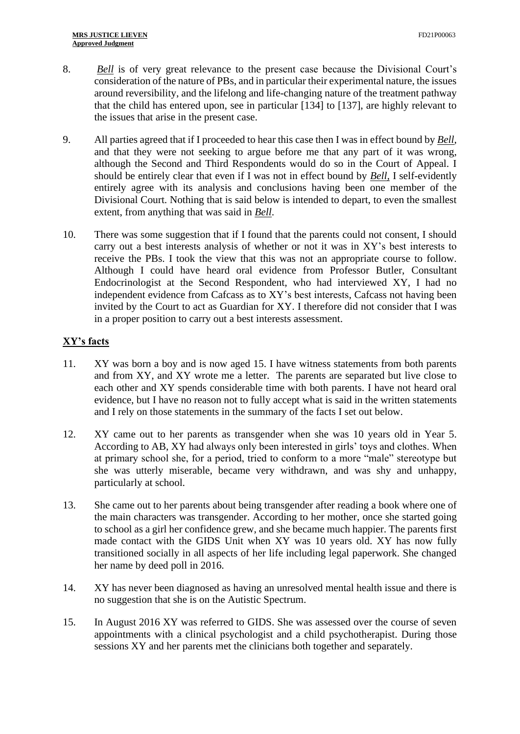- 8. *Bell* is of very great relevance to the present case because the Divisional Court's consideration of the nature of PBs, and in particular their experimental nature, the issues around reversibility, and the lifelong and life-changing nature of the treatment pathway that the child has entered upon, see in particular [134] to [137], are highly relevant to the issues that arise in the present case.
- 9. All parties agreed that if I proceeded to hear this case then I was in effect bound by *Bell*, and that they were not seeking to argue before me that any part of it was wrong, although the Second and Third Respondents would do so in the Court of Appeal. I should be entirely clear that even if I was not in effect bound by *Bell,* I self-evidently entirely agree with its analysis and conclusions having been one member of the Divisional Court. Nothing that is said below is intended to depart, to even the smallest extent, from anything that was said in *Bell*.
- 10. There was some suggestion that if I found that the parents could not consent, I should carry out a best interests analysis of whether or not it was in XY's best interests to receive the PBs. I took the view that this was not an appropriate course to follow. Although I could have heard oral evidence from Professor Butler, Consultant Endocrinologist at the Second Respondent, who had interviewed XY, I had no independent evidence from Cafcass as to XY's best interests, Cafcass not having been invited by the Court to act as Guardian for XY. I therefore did not consider that I was in a proper position to carry out a best interests assessment.

# **XY's facts**

- 11. XY was born a boy and is now aged 15. I have witness statements from both parents and from XY, and XY wrote me a letter. The parents are separated but live close to each other and XY spends considerable time with both parents. I have not heard oral evidence, but I have no reason not to fully accept what is said in the written statements and I rely on those statements in the summary of the facts I set out below.
- 12. XY came out to her parents as transgender when she was 10 years old in Year 5. According to AB, XY had always only been interested in girls' toys and clothes. When at primary school she, for a period, tried to conform to a more "male" stereotype but she was utterly miserable, became very withdrawn, and was shy and unhappy, particularly at school.
- 13. She came out to her parents about being transgender after reading a book where one of the main characters was transgender. According to her mother, once she started going to school as a girl her confidence grew, and she became much happier. The parents first made contact with the GIDS Unit when XY was 10 years old. XY has now fully transitioned socially in all aspects of her life including legal paperwork. She changed her name by deed poll in 2016.
- 14. XY has never been diagnosed as having an unresolved mental health issue and there is no suggestion that she is on the Autistic Spectrum.
- 15. In August 2016 XY was referred to GIDS. She was assessed over the course of seven appointments with a clinical psychologist and a child psychotherapist. During those sessions XY and her parents met the clinicians both together and separately.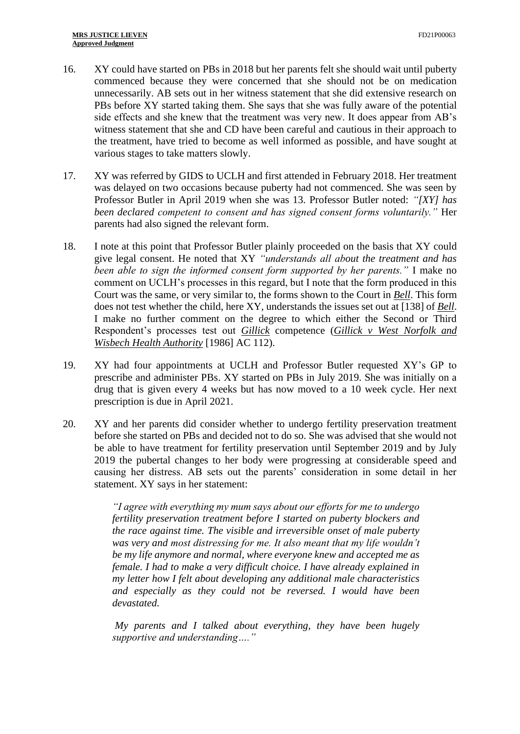- 16. XY could have started on PBs in 2018 but her parents felt she should wait until puberty commenced because they were concerned that she should not be on medication unnecessarily. AB sets out in her witness statement that she did extensive research on PBs before XY started taking them. She says that she was fully aware of the potential side effects and she knew that the treatment was very new. It does appear from AB's witness statement that she and CD have been careful and cautious in their approach to the treatment, have tried to become as well informed as possible, and have sought at various stages to take matters slowly.
- 17. XY was referred by GIDS to UCLH and first attended in February 2018. Her treatment was delayed on two occasions because puberty had not commenced. She was seen by Professor Butler in April 2019 when she was 13. Professor Butler noted: *"[XY] has been declared competent to consent and has signed consent forms voluntarily."* Her parents had also signed the relevant form.
- 18. I note at this point that Professor Butler plainly proceeded on the basis that XY could give legal consent. He noted that XY *"understands all about the treatment and has been able to sign the informed consent form supported by her parents."* I make no comment on UCLH's processes in this regard, but I note that the form produced in this Court was the same, or very similar to, the forms shown to the Court in *Bell*. This form does not test whether the child, here XY, understands the issues set out at [138] of *Bell*. I make no further comment on the degree to which either the Second or Third Respondent's processes test out *Gillick* competence (*Gillick v West Norfolk and Wisbech Health Authority* [1986] AC 112).
- 19. XY had four appointments at UCLH and Professor Butler requested XY's GP to prescribe and administer PBs. XY started on PBs in July 2019. She was initially on a drug that is given every 4 weeks but has now moved to a 10 week cycle. Her next prescription is due in April 2021.
- 20. XY and her parents did consider whether to undergo fertility preservation treatment before she started on PBs and decided not to do so. She was advised that she would not be able to have treatment for fertility preservation until September 2019 and by July 2019 the pubertal changes to her body were progressing at considerable speed and causing her distress. AB sets out the parents' consideration in some detail in her statement. XY says in her statement:

*"I agree with everything my mum says about our efforts for me to undergo fertility preservation treatment before I started on puberty blockers and the race against time. The visible and irreversible onset of male puberty was very and most distressing for me. It also meant that my life wouldn't be my life anymore and normal, where everyone knew and accepted me as female. I had to make a very difficult choice. I have already explained in my letter how I felt about developing any additional male characteristics and especially as they could not be reversed. I would have been devastated.*

*My parents and I talked about everything, they have been hugely supportive and understanding…."*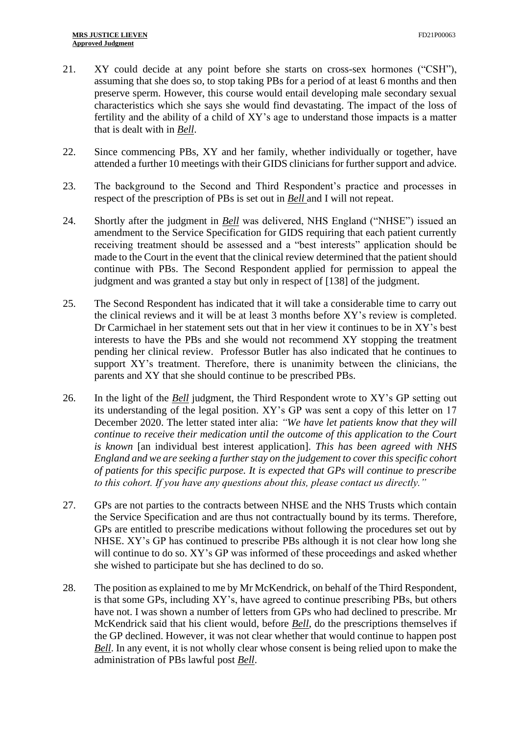- 21. XY could decide at any point before she starts on cross-sex hormones ("CSH"), assuming that she does so, to stop taking PBs for a period of at least 6 months and then preserve sperm. However, this course would entail developing male secondary sexual characteristics which she says she would find devastating. The impact of the loss of fertility and the ability of a child of XY's age to understand those impacts is a matter that is dealt with in *Bell*.
- 22. Since commencing PBs, XY and her family, whether individually or together, have attended a further 10 meetings with their GIDS clinicians for further support and advice.
- 23. The background to the Second and Third Respondent's practice and processes in respect of the prescription of PBs is set out in *Bell* and I will not repeat.
- 24. Shortly after the judgment in *Bell* was delivered, NHS England ("NHSE") issued an amendment to the Service Specification for GIDS requiring that each patient currently receiving treatment should be assessed and a "best interests" application should be made to the Court in the event that the clinical review determined that the patient should continue with PBs. The Second Respondent applied for permission to appeal the judgment and was granted a stay but only in respect of [138] of the judgment.
- 25. The Second Respondent has indicated that it will take a considerable time to carry out the clinical reviews and it will be at least 3 months before XY's review is completed. Dr Carmichael in her statement sets out that in her view it continues to be in XY's best interests to have the PBs and she would not recommend XY stopping the treatment pending her clinical review. Professor Butler has also indicated that he continues to support XY's treatment. Therefore, there is unanimity between the clinicians, the parents and XY that she should continue to be prescribed PBs.
- 26. In the light of the *Bell* judgment, the Third Respondent wrote to XY's GP setting out its understanding of the legal position. XY's GP was sent a copy of this letter on 17 December 2020. The letter stated inter alia: *"We have let patients know that they will continue to receive their medication until the outcome of this application to the Court is known* [an individual best interest application]. *This has been agreed with NHS England and we are seeking a further stay on the judgement to cover this specific cohort of patients for this specific purpose. It is expected that GPs will continue to prescribe to this cohort. If you have any questions about this, please contact us directly."*
- 27. GPs are not parties to the contracts between NHSE and the NHS Trusts which contain the Service Specification and are thus not contractually bound by its terms. Therefore, GPs are entitled to prescribe medications without following the procedures set out by NHSE. XY's GP has continued to prescribe PBs although it is not clear how long she will continue to do so. XY's GP was informed of these proceedings and asked whether she wished to participate but she has declined to do so.
- 28. The position as explained to me by Mr McKendrick, on behalf of the Third Respondent, is that some GPs, including XY's, have agreed to continue prescribing PBs, but others have not. I was shown a number of letters from GPs who had declined to prescribe. Mr McKendrick said that his client would, before *Bell*, do the prescriptions themselves if the GP declined. However, it was not clear whether that would continue to happen post *Bell*. In any event, it is not wholly clear whose consent is being relied upon to make the administration of PBs lawful post *Bell*.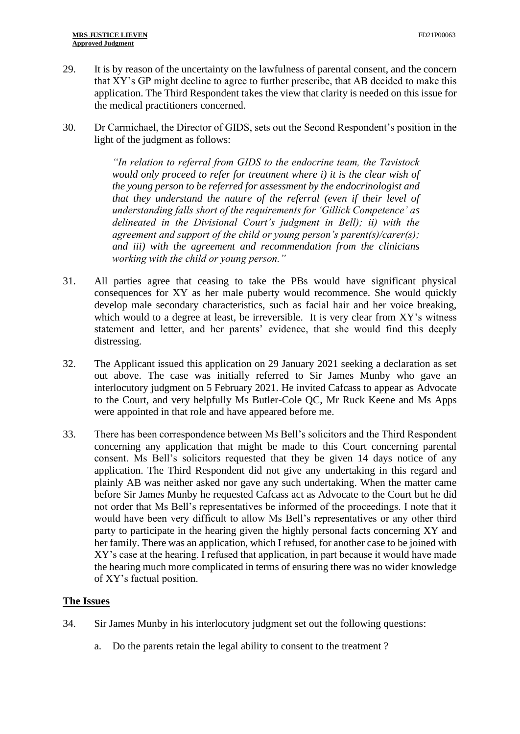- 29. It is by reason of the uncertainty on the lawfulness of parental consent, and the concern that XY's GP might decline to agree to further prescribe, that AB decided to make this application. The Third Respondent takes the view that clarity is needed on this issue for the medical practitioners concerned.
- 30. Dr Carmichael, the Director of GIDS, sets out the Second Respondent's position in the light of the judgment as follows:

*"In relation to referral from GIDS to the endocrine team, the Tavistock would only proceed to refer for treatment where i) it is the clear wish of the young person to be referred for assessment by the endocrinologist and that they understand the nature of the referral (even if their level of understanding falls short of the requirements for 'Gillick Competence' as delineated in the Divisional Court's judgment in Bell); ii) with the agreement and support of the child or young person's parent(s)/carer(s); and iii) with the agreement and recommendation from the clinicians working with the child or young person."*

- 31. All parties agree that ceasing to take the PBs would have significant physical consequences for XY as her male puberty would recommence. She would quickly develop male secondary characteristics, such as facial hair and her voice breaking, which would to a degree at least, be irreversible. It is very clear from XY's witness statement and letter, and her parents' evidence, that she would find this deeply distressing.
- 32. The Applicant issued this application on 29 January 2021 seeking a declaration as set out above. The case was initially referred to Sir James Munby who gave an interlocutory judgment on 5 February 2021. He invited Cafcass to appear as Advocate to the Court, and very helpfully Ms Butler-Cole QC, Mr Ruck Keene and Ms Apps were appointed in that role and have appeared before me.
- 33. There has been correspondence between Ms Bell's solicitors and the Third Respondent concerning any application that might be made to this Court concerning parental consent. Ms Bell's solicitors requested that they be given 14 days notice of any application. The Third Respondent did not give any undertaking in this regard and plainly AB was neither asked nor gave any such undertaking. When the matter came before Sir James Munby he requested Cafcass act as Advocate to the Court but he did not order that Ms Bell's representatives be informed of the proceedings. I note that it would have been very difficult to allow Ms Bell's representatives or any other third party to participate in the hearing given the highly personal facts concerning XY and her family. There was an application, which I refused, for another case to be joined with XY's case at the hearing. I refused that application, in part because it would have made the hearing much more complicated in terms of ensuring there was no wider knowledge of XY's factual position.

# **The Issues**

- 34. Sir James Munby in his interlocutory judgment set out the following questions:
	- a. Do the parents retain the legal ability to consent to the treatment ?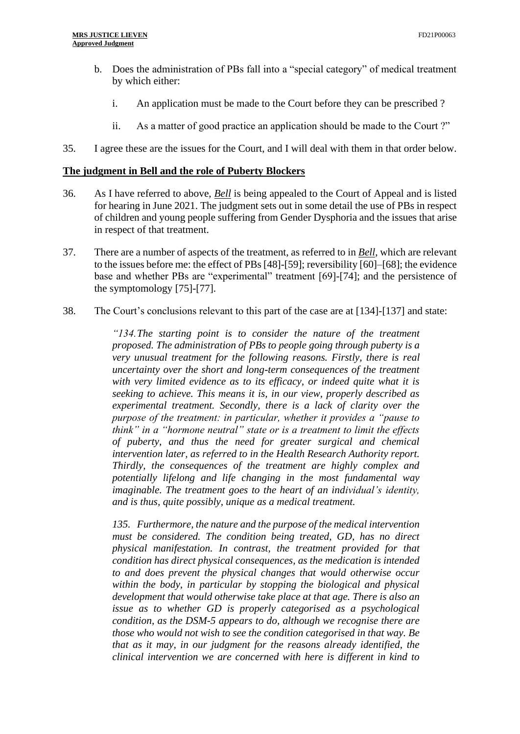- b. Does the administration of PBs fall into a "special category" of medical treatment by which either:
	- i. An application must be made to the Court before they can be prescribed ?
	- ii. As a matter of good practice an application should be made to the Court ?"
- 35. I agree these are the issues for the Court, and I will deal with them in that order below.

#### **The judgment in Bell and the role of Puberty Blockers**

- 36. As I have referred to above, *Bell* is being appealed to the Court of Appeal and is listed for hearing in June 2021. The judgment sets out in some detail the use of PBs in respect of children and young people suffering from Gender Dysphoria and the issues that arise in respect of that treatment.
- 37. There are a number of aspects of the treatment, as referred to in *Bell*, which are relevant to the issues before me: the effect of PBs [48]-[59]; reversibility [60]–[68]; the evidence base and whether PBs are "experimental" treatment [69]-[74]; and the persistence of the symptomology [75]-[77].
- 38. The Court's conclusions relevant to this part of the case are at [134]-[137] and state:

*"134.The starting point is to consider the nature of the treatment proposed. The administration of PBs to people going through puberty is a very unusual treatment for the following reasons. Firstly, there is real uncertainty over the short and long-term consequences of the treatment with very limited evidence as to its efficacy, or indeed quite what it is seeking to achieve. This means it is, in our view, properly described as experimental treatment. Secondly, there is a lack of clarity over the purpose of the treatment: in particular, whether it provides a "pause to think" in a "hormone neutral" state or is a treatment to limit the effects of puberty, and thus the need for greater surgical and chemical intervention later, as referred to in the Health Research Authority report. Thirdly, the consequences of the treatment are highly complex and potentially lifelong and life changing in the most fundamental way imaginable. The treatment goes to the heart of an individual's identity, and is thus, quite possibly, unique as a medical treatment.* 

*135. Furthermore, the nature and the purpose of the medical intervention must be considered. The condition being treated, GD, has no direct physical manifestation. In contrast, the treatment provided for that condition has direct physical consequences, as the medication is intended to and does prevent the physical changes that would otherwise occur within the body, in particular by stopping the biological and physical development that would otherwise take place at that age. There is also an issue as to whether GD is properly categorised as a psychological condition, as the DSM-5 appears to do, although we recognise there are those who would not wish to see the condition categorised in that way. Be that as it may, in our judgment for the reasons already identified, the clinical intervention we are concerned with here is different in kind to*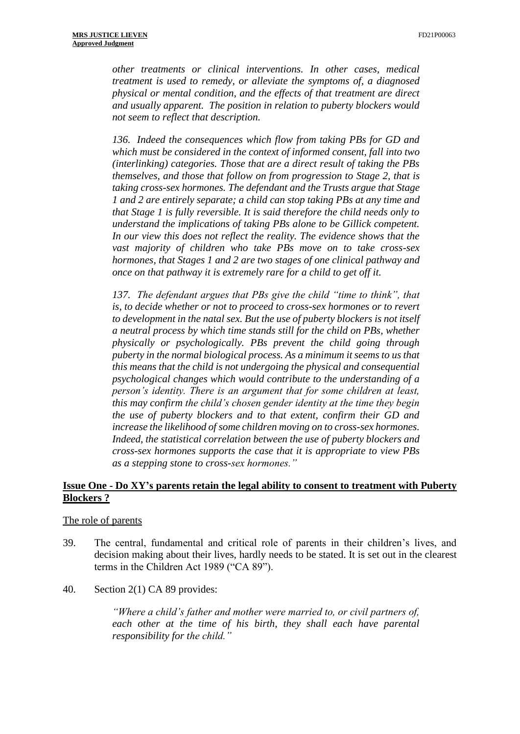*other treatments or clinical interventions. In other cases, medical treatment is used to remedy, or alleviate the symptoms of, a diagnosed physical or mental condition, and the effects of that treatment are direct and usually apparent. The position in relation to puberty blockers would not seem to reflect that description.* 

*136. Indeed the consequences which flow from taking PBs for GD and which must be considered in the context of informed consent, fall into two (interlinking) categories. Those that are a direct result of taking the PBs themselves, and those that follow on from progression to Stage 2, that is taking cross-sex hormones. The defendant and the Trusts argue that Stage 1 and 2 are entirely separate; a child can stop taking PBs at any time and that Stage 1 is fully reversible. It is said therefore the child needs only to understand the implications of taking PBs alone to be Gillick competent. In our view this does not reflect the reality. The evidence shows that the vast majority of children who take PBs move on to take cross-sex hormones, that Stages 1 and 2 are two stages of one clinical pathway and once on that pathway it is extremely rare for a child to get off it.* 

*137. The defendant argues that PBs give the child "time to think", that is, to decide whether or not to proceed to cross-sex hormones or to revert to development in the natal sex. But the use of puberty blockers is not itself a neutral process by which time stands still for the child on PBs, whether physically or psychologically. PBs prevent the child going through puberty in the normal biological process. As a minimum it seems to us that this means that the child is not undergoing the physical and consequential psychological changes which would contribute to the understanding of a person's identity. There is an argument that for some children at least, this may confirm the child's chosen gender identity at the time they begin the use of puberty blockers and to that extent, confirm their GD and increase the likelihood of some children moving on to cross-sex hormones. Indeed, the statistical correlation between the use of puberty blockers and cross-sex hormones supports the case that it is appropriate to view PBs as a stepping stone to cross-sex hormones."*

#### **Issue One - Do XY's parents retain the legal ability to consent to treatment with Puberty Blockers ?**

#### The role of parents

- 39. The central, fundamental and critical role of parents in their children's lives, and decision making about their lives, hardly needs to be stated. It is set out in the clearest terms in the Children Act 1989 ("CA 89").
- 40. Section 2(1) CA 89 provides:

*"Where a child's father and mother were married to, or civil partners of,*  each other at the time of his birth, they shall each have parental *responsibility for the child."*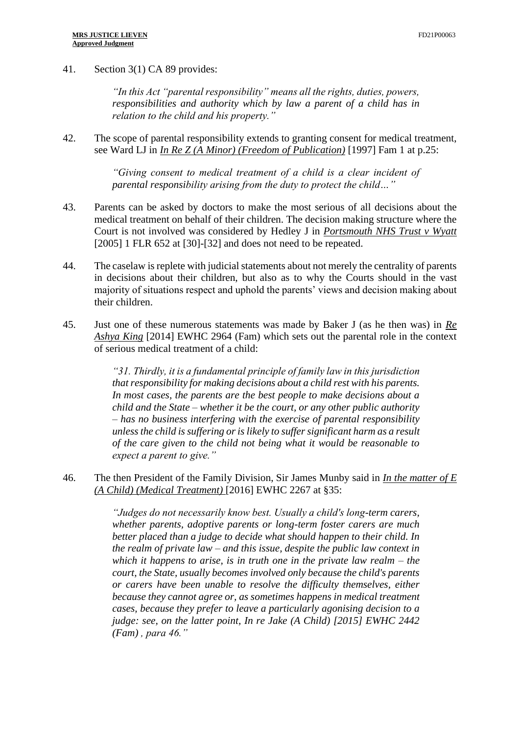41. Section 3(1) CA 89 provides:

*"In this Act "parental responsibility" means all the rights, duties, powers, responsibilities and authority which by law a parent of a child has in relation to the child and his property."*

42. The scope of parental responsibility extends to granting consent for medical treatment, see Ward LJ in *In Re Z (A Minor) (Freedom of Publication)* [1997] Fam 1 at p.25:

> *"Giving consent to medical treatment of a child is a clear incident of parental responsibility arising from the duty to protect the child…"*

- 43. Parents can be asked by doctors to make the most serious of all decisions about the medical treatment on behalf of their children. The decision making structure where the Court is not involved was considered by Hedley J in *Portsmouth NHS Trust v Wyatt*  [2005] 1 FLR 652 at [30]-[32] and does not need to be repeated.
- 44. The caselaw is replete with judicial statements about not merely the centrality of parents in decisions about their children, but also as to why the Courts should in the vast majority of situations respect and uphold the parents' views and decision making about their children.
- 45. Just one of these numerous statements was made by Baker J (as he then was) in *Re Ashya King* [2014] EWHC 2964 (Fam) which sets out the parental role in the context of serious medical treatment of a child:

*"31. Thirdly, it is a fundamental principle of family law in this jurisdiction that responsibility for making decisions about a child rest with his parents. In most cases, the parents are the best people to make decisions about a child and the State – whether it be the court, or any other public authority – has no business interfering with the exercise of parental responsibility unless the child is suffering or is likely to suffer significant harm as a result of the care given to the child not being what it would be reasonable to expect a parent to give."*

46. The then President of the Family Division, Sir James Munby said in *In the matter of E (A Child) (Medical Treatment)* [2016] EWHC 2267 at §35:

> *"Judges do not necessarily know best. Usually a child's long-term carers, whether parents, adoptive parents or long-term foster carers are much better placed than a judge to decide what should happen to their child. In the realm of private law – and this issue, despite the public law context in which it happens to arise, is in truth one in the private law realm – the court, the State, usually becomes involved only because the child's parents or carers have been unable to resolve the difficulty themselves, either because they cannot agree or, as sometimes happens in medical treatment cases, because they prefer to leave a particularly agonising decision to a judge: see, on the latter point, In re Jake (A Child) [2015] EWHC 2442 (Fam) , para 46."*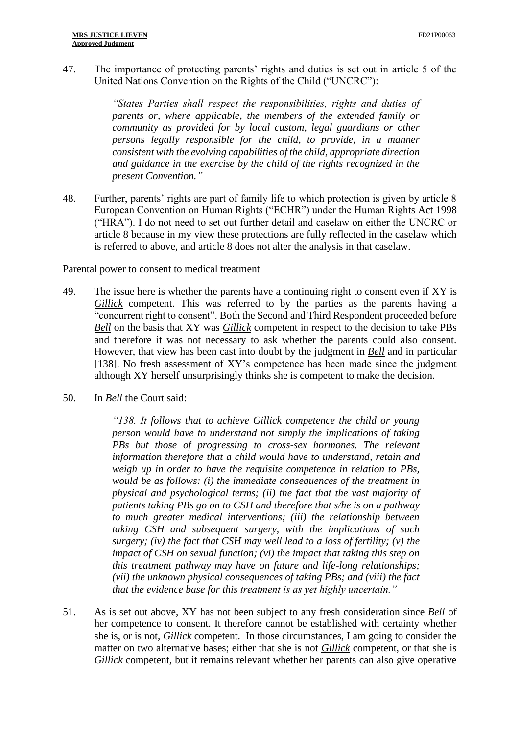47. The importance of protecting parents' rights and duties is set out in article 5 of the United Nations Convention on the Rights of the Child ("UNCRC"):

> *"States Parties shall respect the responsibilities, rights and duties of parents or, where applicable, the members of the extended family or community as provided for by local custom, legal guardians or other persons legally responsible for the child, to provide, in a manner consistent with the evolving capabilities of the child, appropriate direction and guidance in the exercise by the child of the rights recognized in the present Convention."*

48. Further, parents' rights are part of family life to which protection is given by article 8 European Convention on Human Rights ("ECHR") under the Human Rights Act 1998 ("HRA"). I do not need to set out further detail and caselaw on either the UNCRC or article 8 because in my view these protections are fully reflected in the caselaw which is referred to above, and article 8 does not alter the analysis in that caselaw.

#### Parental power to consent to medical treatment

- 49. The issue here is whether the parents have a continuing right to consent even if XY is *Gillick* competent. This was referred to by the parties as the parents having a "concurrent right to consent". Both the Second and Third Respondent proceeded before *Bell* on the basis that XY was *Gillick* competent in respect to the decision to take PBs and therefore it was not necessary to ask whether the parents could also consent. However, that view has been cast into doubt by the judgment in *Bell* and in particular [138]. No fresh assessment of XY's competence has been made since the judgment although XY herself unsurprisingly thinks she is competent to make the decision.
- 50. In *Bell* the Court said:

*"138. It follows that to achieve Gillick competence the child or young person would have to understand not simply the implications of taking*  PBs but those of progressing to cross-sex hormones. The relevant *information therefore that a child would have to understand, retain and weigh up in order to have the requisite competence in relation to PBs, would be as follows: (i) the immediate consequences of the treatment in physical and psychological terms; (ii) the fact that the vast majority of patients taking PBs go on to CSH and therefore that s/he is on a pathway to much greater medical interventions; (iii) the relationship between taking CSH and subsequent surgery, with the implications of such surgery; (iv) the fact that CSH may well lead to a loss of fertility; (v) the impact of CSH on sexual function; (vi) the impact that taking this step on this treatment pathway may have on future and life-long relationships; (vii) the unknown physical consequences of taking PBs; and (viii) the fact that the evidence base for this treatment is as yet highly uncertain."*

51. As is set out above, XY has not been subject to any fresh consideration since *Bell* of her competence to consent. It therefore cannot be established with certainty whether she is, or is not, *Gillick* competent. In those circumstances, I am going to consider the matter on two alternative bases; either that she is not *Gillick* competent, or that she is *Gillick* competent, but it remains relevant whether her parents can also give operative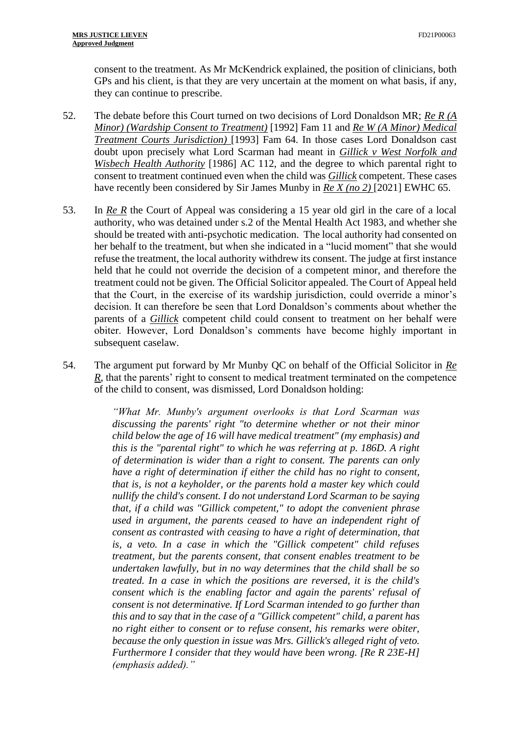consent to the treatment. As Mr McKendrick explained, the position of clinicians, both GPs and his client, is that they are very uncertain at the moment on what basis, if any, they can continue to prescribe.

- 52. The debate before this Court turned on two decisions of Lord Donaldson MR; *Re R (A Minor) (Wardship Consent to Treatment)* [1992] Fam 11 and *Re W (A Minor) Medical Treatment Courts Jurisdiction)* [1993] Fam 64. In those cases Lord Donaldson cast doubt upon precisely what Lord Scarman had meant in *Gillick v West Norfolk and Wisbech Health Authority* [1986] AC 112, and the degree to which parental right to consent to treatment continued even when the child was *Gillick* competent. These cases have recently been considered by Sir James Munby in *Re X (no 2)* [2021] EWHC 65.
- 53. In *Re R* the Court of Appeal was considering a 15 year old girl in the care of a local authority, who was detained under s.2 of the Mental Health Act 1983, and whether she should be treated with anti-psychotic medication. The local authority had consented on her behalf to the treatment, but when she indicated in a "lucid moment" that she would refuse the treatment, the local authority withdrew its consent. The judge at first instance held that he could not override the decision of a competent minor, and therefore the treatment could not be given. The Official Solicitor appealed. The Court of Appeal held that the Court, in the exercise of its wardship jurisdiction, could override a minor's decision. It can therefore be seen that Lord Donaldson's comments about whether the parents of a *Gillick* competent child could consent to treatment on her behalf were obiter. However, Lord Donaldson's comments have become highly important in subsequent caselaw.
- 54. The argument put forward by Mr Munby QC on behalf of the Official Solicitor in *Re R*, that the parents' right to consent to medical treatment terminated on the competence of the child to consent, was dismissed, Lord Donaldson holding:

*"What Mr. Munby's argument overlooks is that Lord Scarman was discussing the parents' right "to determine whether or not their minor child below the age of 16 will have medical treatment" (my emphasis) and this is the "parental right" to which he was referring at p. 186D. A right of determination is wider than a right to consent. The parents can only have a right of determination if either the child has no right to consent, that is, is not a keyholder, or the parents hold a master key which could nullify the child's consent. I do not understand Lord Scarman to be saying that, if a child was "Gillick competent," to adopt the convenient phrase used in argument, the parents ceased to have an independent right of consent as contrasted with ceasing to have a right of determination, that is, a veto. In a case in which the "Gillick competent" child refuses treatment, but the parents consent, that consent enables treatment to be undertaken lawfully, but in no way determines that the child shall be so treated. In a case in which the positions are reversed, it is the child's consent which is the enabling factor and again the parents' refusal of consent is not determinative. If Lord Scarman intended to go further than this and to say that in the case of a "Gillick competent" child, a parent has no right either to consent or to refuse consent, his remarks were obiter, because the only question in issue was Mrs. Gillick's alleged right of veto. Furthermore I consider that they would have been wrong. [Re R 23E-H] (emphasis added)."*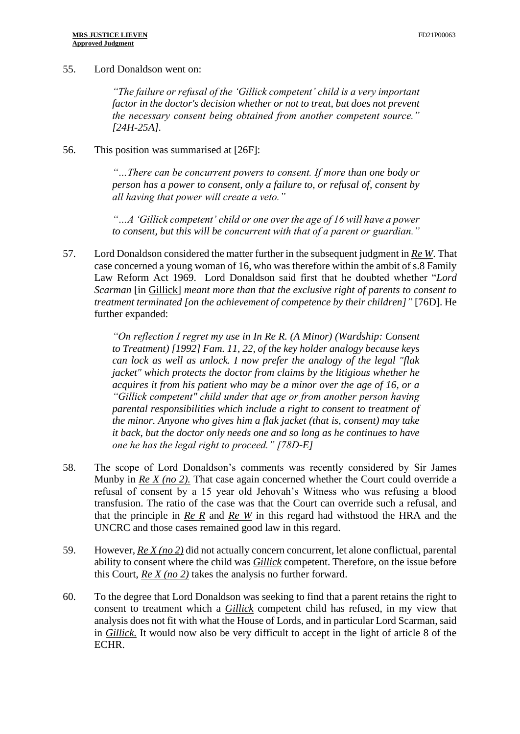#### 55. Lord Donaldson went on:

*"The failure or refusal of the 'Gillick competent' child is a very important factor in the doctor's decision whether or not to treat, but does not prevent the necessary consent being obtained from another competent source." [24H-25A].*

56. This position was summarised at [26F]:

*"…There can be concurrent powers to consent. If more than one body or person has a power to consent, only a failure to, or refusal of, consent by all having that power will create a veto."*

*"…A 'Gillick competent' child or one over the age of 16 will have a power to consent, but this will be concurrent with that of a parent or guardian."*

57. Lord Donaldson considered the matter further in the subsequent judgment in *Re W*. That case concerned a young woman of 16, who was therefore within the ambit of s.8 Family Law Reform Act 1969. Lord Donaldson said first that he doubted whether "*Lord Scarman* [in Gillick] *meant more than that the exclusive right of parents to consent to treatment terminated [on the achievement of competence by their children]"* [76D]. He further expanded:

> *"On reflection I regret my use in In Re R. (A Minor) (Wardship: Consent to Treatment) [1992] Fam. 11, 22, of the key holder analogy because keys can lock as well as unlock. I now prefer the analogy of the legal "flak jacket" which protects the doctor from claims by the litigious whether he acquires it from his patient who may be a minor over the age of 16, or a "Gillick competent" child under that age or from another person having parental responsibilities which include a right to consent to treatment of the minor. Anyone who gives him a flak jacket (that is, consent) may take it back, but the doctor only needs one and so long as he continues to have one he has the legal right to proceed." [78D-E]*

- 58. The scope of Lord Donaldson's comments was recently considered by Sir James Munby in *Re X (no 2).* That case again concerned whether the Court could override a refusal of consent by a 15 year old Jehovah's Witness who was refusing a blood transfusion. The ratio of the case was that the Court can override such a refusal, and that the principle in *Re R* and *Re W* in this regard had withstood the HRA and the UNCRC and those cases remained good law in this regard.
- 59. However, *Re X (no 2)* did not actually concern concurrent, let alone conflictual, parental ability to consent where the child was *Gillick* competent. Therefore, on the issue before this Court, *Re X (no 2)* takes the analysis no further forward.
- 60. To the degree that Lord Donaldson was seeking to find that a parent retains the right to consent to treatment which a *Gillick* competent child has refused, in my view that analysis does not fit with what the House of Lords, and in particular Lord Scarman, said in *Gillick.* It would now also be very difficult to accept in the light of article 8 of the ECHR.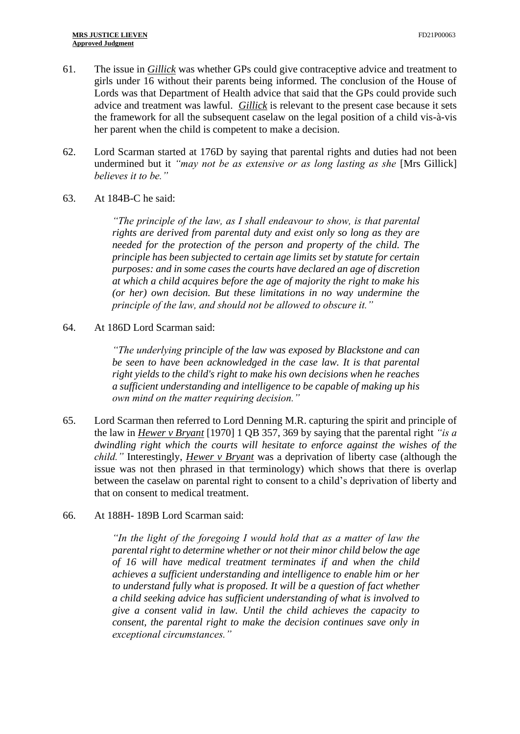- 61. The issue in *Gillick* was whether GPs could give contraceptive advice and treatment to girls under 16 without their parents being informed. The conclusion of the House of Lords was that Department of Health advice that said that the GPs could provide such advice and treatment was lawful. *Gillick* is relevant to the present case because it sets the framework for all the subsequent caselaw on the legal position of a child vis-à-vis her parent when the child is competent to make a decision.
- 62. Lord Scarman started at 176D by saying that parental rights and duties had not been undermined but it *"may not be as extensive or as long lasting as she* [Mrs Gillick] *believes it to be."*
- 63. At 184B-C he said:

*"The principle of the law, as I shall endeavour to show, is that parental rights are derived from parental duty and exist only so long as they are needed for the protection of the person and property of the child. The principle has been subjected to certain age limits set by statute for certain purposes: and in some cases the courts have declared an age of discretion at which a child acquires before the age of majority the right to make his (or her) own decision. But these limitations in no way undermine the principle of the law, and should not be allowed to obscure it."*

#### 64. At 186D Lord Scarman said:

*"The underlying principle of the law was exposed by Blackstone and can be seen to have been acknowledged in the case law. It is that parental right yields to the child's right to make his own decisions when he reaches a sufficient understanding and intelligence to be capable of making up his own mind on the matter requiring decision."*

- 65. Lord Scarman then referred to Lord Denning M.R. capturing the spirit and principle of the law in *Hewer v Bryant* [1970] 1 QB 357, 369 by saying that the parental right *"is a dwindling right which the courts will hesitate to enforce against the wishes of the child."* Interestingly, *Hewer v Bryant* was a deprivation of liberty case (although the issue was not then phrased in that terminology) which shows that there is overlap between the caselaw on parental right to consent to a child's deprivation of liberty and that on consent to medical treatment.
- 66. At 188H- 189B Lord Scarman said:

*"In the light of the foregoing I would hold that as a matter of law the parental right to determine whether or not their minor child below the age of 16 will have medical treatment terminates if and when the child achieves a sufficient understanding and intelligence to enable him or her to understand fully what is proposed. It will be a question of fact whether a child seeking advice has sufficient understanding of what is involved to give a consent valid in law. Until the child achieves the capacity to consent, the parental right to make the decision continues save only in exceptional circumstances."*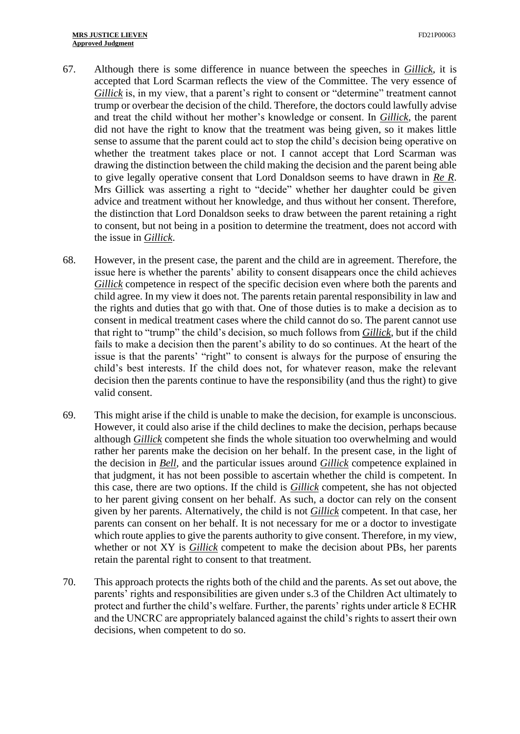- 67. Although there is some difference in nuance between the speeches in *Gillick*, it is accepted that Lord Scarman reflects the view of the Committee. The very essence of *Gillick* is, in my view, that a parent's right to consent or "determine" treatment cannot trump or overbear the decision of the child. Therefore, the doctors could lawfully advise and treat the child without her mother's knowledge or consent. In *Gillick*, the parent did not have the right to know that the treatment was being given, so it makes little sense to assume that the parent could act to stop the child's decision being operative on whether the treatment takes place or not. I cannot accept that Lord Scarman was drawing the distinction between the child making the decision and the parent being able to give legally operative consent that Lord Donaldson seems to have drawn in *Re R*. Mrs Gillick was asserting a right to "decide" whether her daughter could be given advice and treatment without her knowledge, and thus without her consent. Therefore, the distinction that Lord Donaldson seeks to draw between the parent retaining a right to consent, but not being in a position to determine the treatment, does not accord with the issue in *Gillick*.
- 68. However, in the present case, the parent and the child are in agreement. Therefore, the issue here is whether the parents' ability to consent disappears once the child achieves *Gillick* competence in respect of the specific decision even where both the parents and child agree. In my view it does not. The parents retain parental responsibility in law and the rights and duties that go with that. One of those duties is to make a decision as to consent in medical treatment cases where the child cannot do so. The parent cannot use that right to "trump" the child's decision, so much follows from *Gillick*, but if the child fails to make a decision then the parent's ability to do so continues. At the heart of the issue is that the parents' "right" to consent is always for the purpose of ensuring the child's best interests. If the child does not, for whatever reason, make the relevant decision then the parents continue to have the responsibility (and thus the right) to give valid consent.
- 69. This might arise if the child is unable to make the decision, for example is unconscious. However, it could also arise if the child declines to make the decision, perhaps because although *Gillick* competent she finds the whole situation too overwhelming and would rather her parents make the decision on her behalf. In the present case, in the light of the decision in *Bell*, and the particular issues around *Gillick* competence explained in that judgment, it has not been possible to ascertain whether the child is competent. In this case, there are two options. If the child is *Gillick* competent, she has not objected to her parent giving consent on her behalf. As such, a doctor can rely on the consent given by her parents. Alternatively, the child is not *Gillick* competent. In that case, her parents can consent on her behalf. It is not necessary for me or a doctor to investigate which route applies to give the parents authority to give consent. Therefore, in my view, whether or not XY is *Gillick* competent to make the decision about PBs, her parents retain the parental right to consent to that treatment.
- 70. This approach protects the rights both of the child and the parents. As set out above, the parents' rights and responsibilities are given under s.3 of the Children Act ultimately to protect and further the child's welfare. Further, the parents' rights under article 8 ECHR and the UNCRC are appropriately balanced against the child's rights to assert their own decisions, when competent to do so.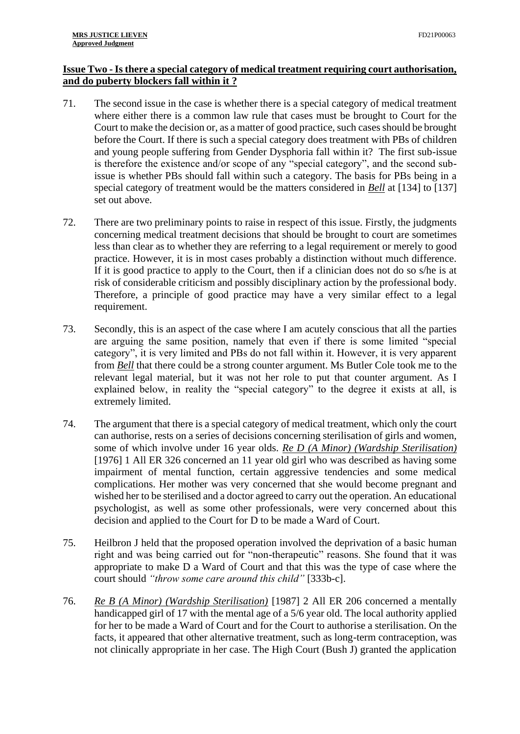# **Issue Two -Is there a special category of medical treatment requiring court authorisation, and do puberty blockers fall within it ?**

- 71. The second issue in the case is whether there is a special category of medical treatment where either there is a common law rule that cases must be brought to Court for the Court to make the decision or, as a matter of good practice, such cases should be brought before the Court. If there is such a special category does treatment with PBs of children and young people suffering from Gender Dysphoria fall within it? The first sub-issue is therefore the existence and/or scope of any "special category", and the second subissue is whether PBs should fall within such a category. The basis for PBs being in a special category of treatment would be the matters considered in *Bell* at [134] to [137] set out above.
- 72. There are two preliminary points to raise in respect of this issue. Firstly, the judgments concerning medical treatment decisions that should be brought to court are sometimes less than clear as to whether they are referring to a legal requirement or merely to good practice. However, it is in most cases probably a distinction without much difference. If it is good practice to apply to the Court, then if a clinician does not do so s/he is at risk of considerable criticism and possibly disciplinary action by the professional body. Therefore, a principle of good practice may have a very similar effect to a legal requirement.
- 73. Secondly, this is an aspect of the case where I am acutely conscious that all the parties are arguing the same position, namely that even if there is some limited "special category", it is very limited and PBs do not fall within it. However, it is very apparent from *Bell* that there could be a strong counter argument. Ms Butler Cole took me to the relevant legal material, but it was not her role to put that counter argument. As I explained below, in reality the "special category" to the degree it exists at all, is extremely limited.
- 74. The argument that there is a special category of medical treatment, which only the court can authorise, rests on a series of decisions concerning sterilisation of girls and women, some of which involve under 16 year olds. *Re D (A Minor) (Wardship Sterilisation)*  [1976] 1 All ER 326 concerned an 11 year old girl who was described as having some impairment of mental function, certain aggressive tendencies and some medical complications. Her mother was very concerned that she would become pregnant and wished her to be sterilised and a doctor agreed to carry out the operation. An educational psychologist, as well as some other professionals, were very concerned about this decision and applied to the Court for D to be made a Ward of Court.
- 75. Heilbron J held that the proposed operation involved the deprivation of a basic human right and was being carried out for "non-therapeutic" reasons. She found that it was appropriate to make D a Ward of Court and that this was the type of case where the court should *"throw some care around this child"* [333b-c].
- 76. *Re B (A Minor) (Wardship Sterilisation)* [1987] 2 All ER 206 concerned a mentally handicapped girl of 17 with the mental age of a 5/6 year old. The local authority applied for her to be made a Ward of Court and for the Court to authorise a sterilisation. On the facts, it appeared that other alternative treatment, such as long-term contraception, was not clinically appropriate in her case. The High Court (Bush J) granted the application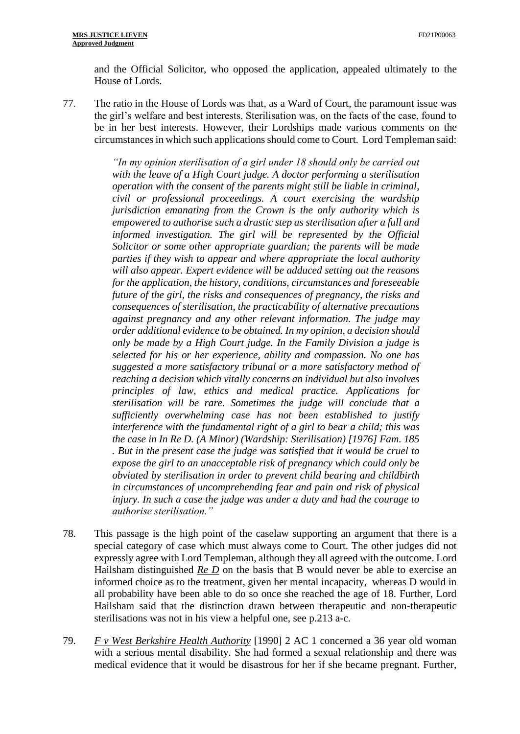and the Official Solicitor, who opposed the application, appealed ultimately to the House of Lords.

77. The ratio in the House of Lords was that, as a Ward of Court, the paramount issue was the girl's welfare and best interests. Sterilisation was, on the facts of the case, found to be in her best interests. However, their Lordships made various comments on the circumstances in which such applications should come to Court. Lord Templeman said:

> *"In my opinion sterilisation of a girl under 18 should only be carried out with the leave of a High Court judge. A doctor performing a sterilisation operation with the consent of the parents might still be liable in criminal, civil or professional proceedings. A court exercising the wardship jurisdiction emanating from the Crown is the only authority which is empowered to authorise such a drastic step as sterilisation after a full and informed investigation. The girl will be represented by the Official Solicitor or some other appropriate guardian; the parents will be made parties if they wish to appear and where appropriate the local authority will also appear. Expert evidence will be adduced setting out the reasons for the application, the history, conditions, circumstances and foreseeable future of the girl, the risks and consequences of pregnancy, the risks and consequences of sterilisation, the practicability of alternative precautions against pregnancy and any other relevant information. The judge may order additional evidence to be obtained. In my opinion, a decision should only be made by a High Court judge. In the Family Division a judge is selected for his or her experience, ability and compassion. No one has suggested a more satisfactory tribunal or a more satisfactory method of reaching a decision which vitally concerns an individual but also involves principles of law, ethics and medical practice. Applications for sterilisation will be rare. Sometimes the judge will conclude that a sufficiently overwhelming case has not been established to justify interference with the fundamental right of a girl to bear a child; this was the case in In Re D. (A Minor) (Wardship: Sterilisation) [1976] Fam. 185 . But in the present case the judge was satisfied that it would be cruel to expose the girl to an unacceptable risk of pregnancy which could only be obviated by sterilisation in order to prevent child bearing and childbirth in circumstances of uncomprehending fear and pain and risk of physical injury. In such a case the judge was under a duty and had the courage to authorise sterilisation."*

- 78. This passage is the high point of the caselaw supporting an argument that there is a special category of case which must always come to Court. The other judges did not expressly agree with Lord Templeman, although they all agreed with the outcome. Lord Hailsham distinguished *Re D* on the basis that B would never be able to exercise an informed choice as to the treatment, given her mental incapacity, whereas D would in all probability have been able to do so once she reached the age of 18. Further, Lord Hailsham said that the distinction drawn between therapeutic and non-therapeutic sterilisations was not in his view a helpful one, see p.213 a-c.
- 79. *F v West Berkshire Health Authority* [1990] 2 AC 1 concerned a 36 year old woman with a serious mental disability. She had formed a sexual relationship and there was medical evidence that it would be disastrous for her if she became pregnant. Further,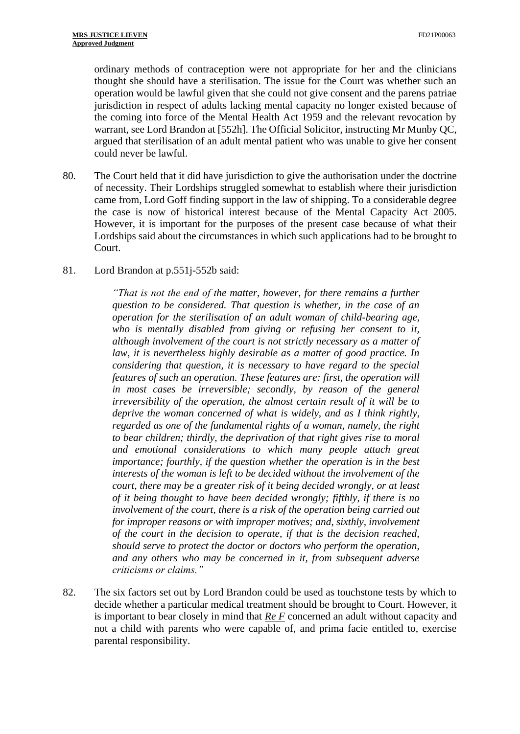ordinary methods of contraception were not appropriate for her and the clinicians thought she should have a sterilisation. The issue for the Court was whether such an operation would be lawful given that she could not give consent and the parens patriae jurisdiction in respect of adults lacking mental capacity no longer existed because of the coming into force of the Mental Health Act 1959 and the relevant revocation by warrant, see Lord Brandon at [552h]. The Official Solicitor, instructing Mr Munby QC, argued that sterilisation of an adult mental patient who was unable to give her consent could never be lawful.

- 80. The Court held that it did have jurisdiction to give the authorisation under the doctrine of necessity. Their Lordships struggled somewhat to establish where their jurisdiction came from, Lord Goff finding support in the law of shipping. To a considerable degree the case is now of historical interest because of the Mental Capacity Act 2005. However, it is important for the purposes of the present case because of what their Lordships said about the circumstances in which such applications had to be brought to Court.
- 81. Lord Brandon at p.551j-552b said:

*"That is not the end of the matter, however, for there remains a further question to be considered. That question is whether, in the case of an operation for the sterilisation of an adult woman of child-bearing age, who is mentally disabled from giving or refusing her consent to it, although involvement of the court is not strictly necessary as a matter of law, it is nevertheless highly desirable as a matter of good practice. In considering that question, it is necessary to have regard to the special features of such an operation. These features are: first, the operation will in most cases be irreversible; secondly, by reason of the general irreversibility of the operation, the almost certain result of it will be to deprive the woman concerned of what is widely, and as I think rightly, regarded as one of the fundamental rights of a woman, namely, the right to bear children; thirdly, the deprivation of that right gives rise to moral and emotional considerations to which many people attach great importance; fourthly, if the question whether the operation is in the best interests of the woman is left to be decided without the involvement of the court, there may be a greater risk of it being decided wrongly, or at least of it being thought to have been decided wrongly; fifthly, if there is no involvement of the court, there is a risk of the operation being carried out for improper reasons or with improper motives; and, sixthly, involvement of the court in the decision to operate, if that is the decision reached, should serve to protect the doctor or doctors who perform the operation, and any others who may be concerned in it, from subsequent adverse criticisms or claims."*

82. The six factors set out by Lord Brandon could be used as touchstone tests by which to decide whether a particular medical treatment should be brought to Court. However, it is important to bear closely in mind that *Re F* concerned an adult without capacity and not a child with parents who were capable of, and prima facie entitled to, exercise parental responsibility.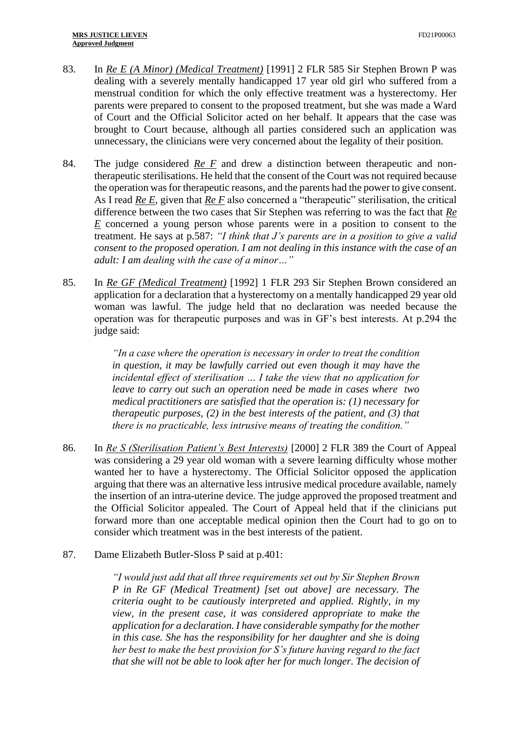- 83. In *Re E (A Minor) (Medical Treatment)* [1991] 2 FLR 585 Sir Stephen Brown P was dealing with a severely mentally handicapped 17 year old girl who suffered from a menstrual condition for which the only effective treatment was a hysterectomy. Her parents were prepared to consent to the proposed treatment, but she was made a Ward of Court and the Official Solicitor acted on her behalf. It appears that the case was brought to Court because, although all parties considered such an application was unnecessary, the clinicians were very concerned about the legality of their position.
- 84. The judge considered *Re F* and drew a distinction between therapeutic and nontherapeutic sterilisations. He held that the consent of the Court was not required because the operation was for therapeutic reasons, and the parents had the power to give consent. As I read *Re E*, given that *Re F* also concerned a "therapeutic" sterilisation, the critical difference between the two cases that Sir Stephen was referring to was the fact that *Re E* concerned a young person whose parents were in a position to consent to the treatment. He says at p.587: *"I think that J's parents are in a position to give a valid consent to the proposed operation. I am not dealing in this instance with the case of an adult: I am dealing with the case of a minor…"*
- 85. In *Re GF (Medical Treatment)* [1992] 1 FLR 293 Sir Stephen Brown considered an application for a declaration that a hysterectomy on a mentally handicapped 29 year old woman was lawful. The judge held that no declaration was needed because the operation was for therapeutic purposes and was in GF's best interests. At p.294 the judge said:

*"In a case where the operation is necessary in order to treat the condition in question, it may be lawfully carried out even though it may have the incidental effect of sterilisation … I take the view that no application for leave to carry out such an operation need be made in cases where two medical practitioners are satisfied that the operation is: (1) necessary for therapeutic purposes, (2) in the best interests of the patient, and (3) that there is no practicable, less intrusive means of treating the condition."*

- 86. In *Re S (Sterilisation Patient's Best Interests)* [2000] 2 FLR 389 the Court of Appeal was considering a 29 year old woman with a severe learning difficulty whose mother wanted her to have a hysterectomy. The Official Solicitor opposed the application arguing that there was an alternative less intrusive medical procedure available, namely the insertion of an intra-uterine device. The judge approved the proposed treatment and the Official Solicitor appealed. The Court of Appeal held that if the clinicians put forward more than one acceptable medical opinion then the Court had to go on to consider which treatment was in the best interests of the patient.
- 87. Dame Elizabeth Butler-Sloss P said at p.401:

*"I would just add that all three requirements set out by Sir Stephen Brown P in Re GF (Medical Treatment) [set out above] are necessary. The criteria ought to be cautiously interpreted and applied. Rightly, in my view, in the present case, it was considered appropriate to make the application for a declaration. I have considerable sympathy for the mother in this case. She has the responsibility for her daughter and she is doing her best to make the best provision for S's future having regard to the fact that she will not be able to look after her for much longer. The decision of*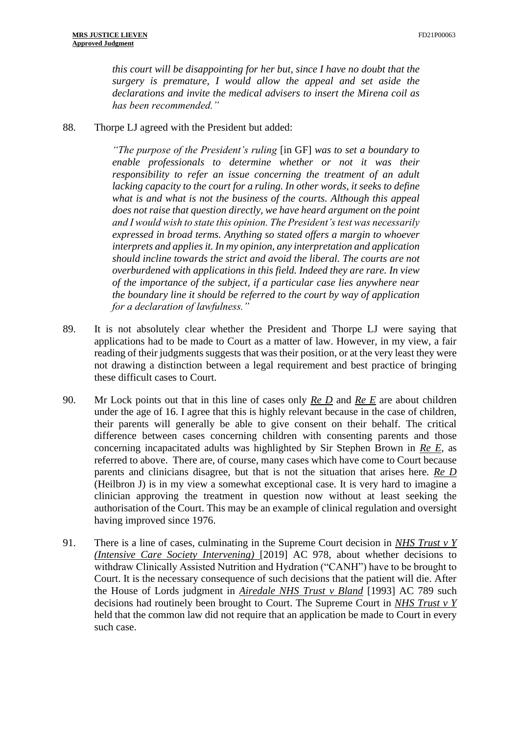*this court will be disappointing for her but, since I have no doubt that the surgery is premature, I would allow the appeal and set aside the declarations and invite the medical advisers to insert the Mirena coil as has been recommended."*

88. Thorpe LJ agreed with the President but added:

*"The purpose of the President's ruling* [in GF] *was to set a boundary to enable professionals to determine whether or not it was their responsibility to refer an issue concerning the treatment of an adult lacking capacity to the court for a ruling. In other words, it seeks to define what is and what is not the business of the courts. Although this appeal does not raise that question directly, we have heard argument on the point and I would wish to state this opinion. The President's test was necessarily expressed in broad terms. Anything so stated offers a margin to whoever interprets and applies it. In my opinion, any interpretation and application should incline towards the strict and avoid the liberal. The courts are not overburdened with applications in this field. Indeed they are rare. In view of the importance of the subject, if a particular case lies anywhere near the boundary line it should be referred to the court by way of application for a declaration of lawfulness."*

- 89. It is not absolutely clear whether the President and Thorpe LJ were saying that applications had to be made to Court as a matter of law. However, in my view, a fair reading of their judgments suggests that was their position, or at the very least they were not drawing a distinction between a legal requirement and best practice of bringing these difficult cases to Court.
- 90. Mr Lock points out that in this line of cases only *Re D* and *Re E* are about children under the age of 16. I agree that this is highly relevant because in the case of children, their parents will generally be able to give consent on their behalf. The critical difference between cases concerning children with consenting parents and those concerning incapacitated adults was highlighted by Sir Stephen Brown in *Re E*, as referred to above. There are, of course, many cases which have come to Court because parents and clinicians disagree, but that is not the situation that arises here. *Re D* (Heilbron J) is in my view a somewhat exceptional case. It is very hard to imagine a clinician approving the treatment in question now without at least seeking the authorisation of the Court. This may be an example of clinical regulation and oversight having improved since 1976.
- 91. There is a line of cases, culminating in the Supreme Court decision in *NHS Trust v Y (Intensive Care Society Intervening)* [2019] AC 978, about whether decisions to withdraw Clinically Assisted Nutrition and Hydration ("CANH") have to be brought to Court. It is the necessary consequence of such decisions that the patient will die. After the House of Lords judgment in *Airedale NHS Trust v Bland* [1993] AC 789 such decisions had routinely been brought to Court. The Supreme Court in *NHS Trust v Y*  held that the common law did not require that an application be made to Court in every such case.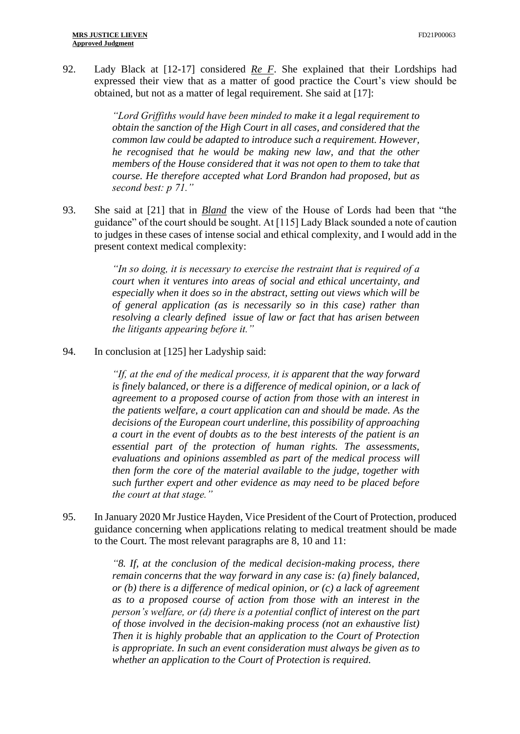92. Lady Black at [12-17] considered *Re F*. She explained that their Lordships had expressed their view that as a matter of good practice the Court's view should be obtained, but not as a matter of legal requirement. She said at [17]:

> *"Lord Griffiths would have been minded to make it a legal requirement to obtain the sanction of the High Court in all cases, and considered that the common law could be adapted to introduce such a requirement. However, he recognised that he would be making new law, and that the other members of the House considered that it was not open to them to take that course. He therefore accepted what Lord Brandon had proposed, but as second best: p 71."*

93. She said at [21] that in *Bland* the view of the House of Lords had been that "the guidance" of the court should be sought. At [115] Lady Black sounded a note of caution to judges in these cases of intense social and ethical complexity, and I would add in the present context medical complexity:

> *"In so doing, it is necessary to exercise the restraint that is required of a court when it ventures into areas of social and ethical uncertainty, and especially when it does so in the abstract, setting out views which will be of general application (as is necessarily so in this case) rather than resolving a clearly defined issue of law or fact that has arisen between the litigants appearing before it."*

94. In conclusion at [125] her Ladyship said:

*"If, at the end of the medical process, it is apparent that the way forward is finely balanced, or there is a difference of medical opinion, or a lack of agreement to a proposed course of action from those with an interest in the patients welfare, a court application can and should be made. As the decisions of the European court underline, this possibility of approaching a court in the event of doubts as to the best interests of the patient is an essential part of the protection of human rights. The assessments, evaluations and opinions assembled as part of the medical process will then form the core of the material available to the judge, together with such further expert and other evidence as may need to be placed before the court at that stage."*

95. In January 2020 Mr Justice Hayden, Vice President of the Court of Protection, produced guidance concerning when applications relating to medical treatment should be made to the Court. The most relevant paragraphs are 8, 10 and 11:

> *"8. If, at the conclusion of the medical decision-making process, there remain concerns that the way forward in any case is: (a) finely balanced, or (b) there is a difference of medical opinion, or (c) a lack of agreement as to a proposed course of action from those with an interest in the person's welfare, or (d) there is a potential conflict of interest on the part of those involved in the decision-making process (not an exhaustive list) Then it is highly probable that an application to the Court of Protection is appropriate. In such an event consideration must always be given as to whether an application to the Court of Protection is required.*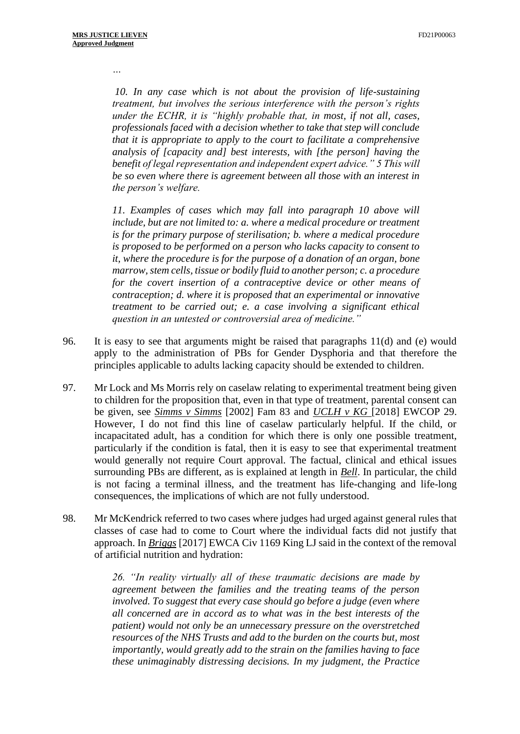*…*

*10. In any case which is not about the provision of life-sustaining treatment, but involves the serious interference with the person's rights under the ECHR, it is "highly probable that, in most, if not all, cases, professionals faced with a decision whether to take that step will conclude that it is appropriate to apply to the court to facilitate a comprehensive analysis of [capacity and] best interests, with [the person] having the benefit of legal representation and independent expert advice." 5 This will be so even where there is agreement between all those with an interest in the person's welfare.*

*11. Examples of cases which may fall into paragraph 10 above will include, but are not limited to: a. where a medical procedure or treatment is for the primary purpose of sterilisation; b. where a medical procedure is proposed to be performed on a person who lacks capacity to consent to it, where the procedure is for the purpose of a donation of an organ, bone marrow, stem cells, tissue or bodily fluid to another person; c. a procedure for the covert insertion of a contraceptive device or other means of contraception; d. where it is proposed that an experimental or innovative treatment to be carried out; e. a case involving a significant ethical question in an untested or controversial area of medicine."*

- 96. It is easy to see that arguments might be raised that paragraphs 11(d) and (e) would apply to the administration of PBs for Gender Dysphoria and that therefore the principles applicable to adults lacking capacity should be extended to children.
- 97. Mr Lock and Ms Morris rely on caselaw relating to experimental treatment being given to children for the proposition that, even in that type of treatment, parental consent can be given, see *Simms v Simms* [2002] Fam 83 and *UCLH v KG* [2018] EWCOP 29. However, I do not find this line of caselaw particularly helpful. If the child, or incapacitated adult, has a condition for which there is only one possible treatment, particularly if the condition is fatal, then it is easy to see that experimental treatment would generally not require Court approval. The factual, clinical and ethical issues surrounding PBs are different, as is explained at length in *Bell*. In particular, the child is not facing a terminal illness, and the treatment has life-changing and life-long consequences, the implications of which are not fully understood.
- 98. Mr McKendrick referred to two cases where judges had urged against general rules that classes of case had to come to Court where the individual facts did not justify that approach. In *Briggs* [2017] EWCA Civ 1169 King LJ said in the context of the removal of artificial nutrition and hydration:

*26. "In reality virtually all of these traumatic decisions are made by agreement between the families and the treating teams of the person involved. To suggest that every case should go before a judge (even where all concerned are in accord as to what was in the best interests of the patient) would not only be an unnecessary pressure on the overstretched resources of the NHS Trusts and add to the burden on the courts but, most importantly, would greatly add to the strain on the families having to face these unimaginably distressing decisions. In my judgment, the Practice*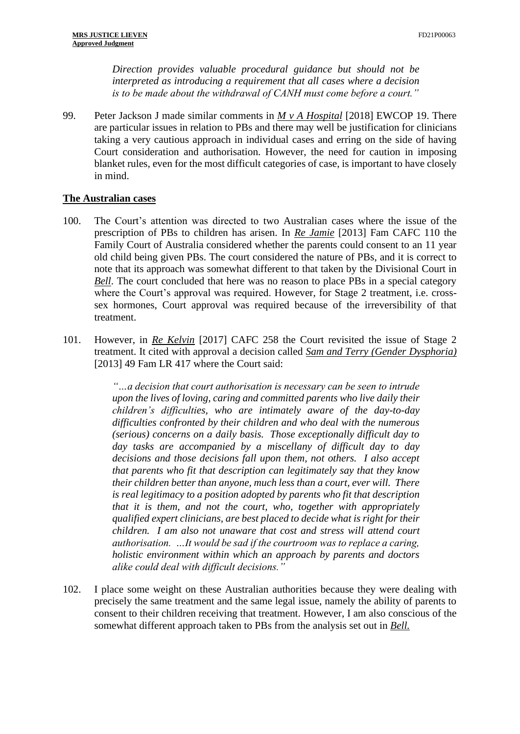*Direction provides valuable procedural guidance but should not be interpreted as introducing a requirement that all cases where a decision is to be made about the withdrawal of CANH must come before a court."*

99. Peter Jackson J made similar comments in *M v A Hospital* [2018] EWCOP 19. There are particular issues in relation to PBs and there may well be justification for clinicians taking a very cautious approach in individual cases and erring on the side of having Court consideration and authorisation. However, the need for caution in imposing blanket rules, even for the most difficult categories of case, is important to have closely in mind.

#### **The Australian cases**

- 100. The Court's attention was directed to two Australian cases where the issue of the prescription of PBs to children has arisen. In *Re Jamie* [2013] Fam CAFC 110 the Family Court of Australia considered whether the parents could consent to an 11 year old child being given PBs. The court considered the nature of PBs, and it is correct to note that its approach was somewhat different to that taken by the Divisional Court in *Bell*. The court concluded that here was no reason to place PBs in a special category where the Court's approval was required. However, for Stage 2 treatment, i.e. crosssex hormones, Court approval was required because of the irreversibility of that treatment.
- 101. However, in *Re Kelvin* [2017] CAFC 258 the Court revisited the issue of Stage 2 treatment. It cited with approval a decision called *Sam and Terry (Gender Dysphoria)*  [2013] 49 Fam LR 417 where the Court said:

*"…a decision that court authorisation is necessary can be seen to intrude upon the lives of loving, caring and committed parents who live daily their children's difficulties, who are intimately aware of the day-to-day difficulties confronted by their children and who deal with the numerous (serious) concerns on a daily basis. Those exceptionally difficult day to day tasks are accompanied by a miscellany of difficult day to day decisions and those decisions fall upon them, not others. I also accept that parents who fit that description can legitimately say that they know their children better than anyone, much less than a court, ever will. There is real legitimacy to a position adopted by parents who fit that description that it is them, and not the court, who, together with appropriately qualified expert clinicians, are best placed to decide what is right for their children. I am also not unaware that cost and stress will attend court authorisation. …It would be sad if the courtroom was to replace a caring, holistic environment within which an approach by parents and doctors alike could deal with difficult decisions."*

102. I place some weight on these Australian authorities because they were dealing with precisely the same treatment and the same legal issue, namely the ability of parents to consent to their children receiving that treatment. However, I am also conscious of the somewhat different approach taken to PBs from the analysis set out in *Bell.*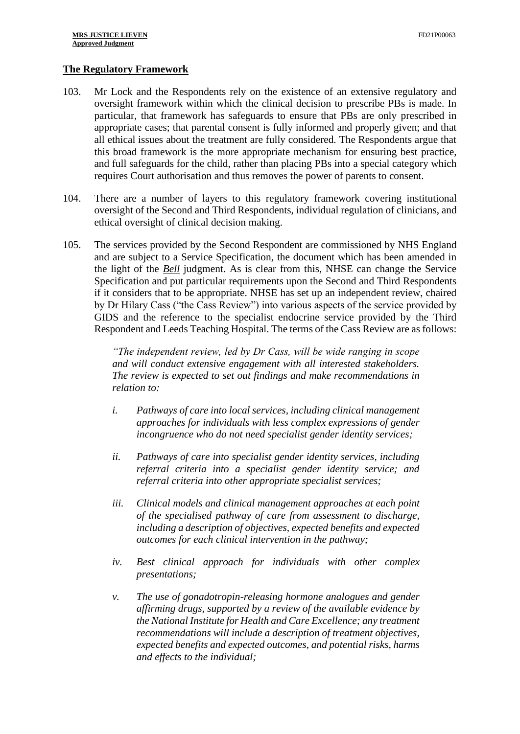#### **The Regulatory Framework**

- 103. Mr Lock and the Respondents rely on the existence of an extensive regulatory and oversight framework within which the clinical decision to prescribe PBs is made. In particular, that framework has safeguards to ensure that PBs are only prescribed in appropriate cases; that parental consent is fully informed and properly given; and that all ethical issues about the treatment are fully considered. The Respondents argue that this broad framework is the more appropriate mechanism for ensuring best practice, and full safeguards for the child, rather than placing PBs into a special category which requires Court authorisation and thus removes the power of parents to consent.
- 104. There are a number of layers to this regulatory framework covering institutional oversight of the Second and Third Respondents, individual regulation of clinicians, and ethical oversight of clinical decision making.
- 105. The services provided by the Second Respondent are commissioned by NHS England and are subject to a Service Specification, the document which has been amended in the light of the *Bell* judgment. As is clear from this, NHSE can change the Service Specification and put particular requirements upon the Second and Third Respondents if it considers that to be appropriate. NHSE has set up an independent review, chaired by Dr Hilary Cass ("the Cass Review") into various aspects of the service provided by GIDS and the reference to the specialist endocrine service provided by the Third Respondent and Leeds Teaching Hospital. The terms of the Cass Review are as follows:

*"The independent review, led by Dr Cass, will be wide ranging in scope and will conduct extensive engagement with all interested stakeholders. The review is expected to set out findings and make recommendations in relation to:*

- *i. Pathways of care into local services, including clinical management approaches for individuals with less complex expressions of gender incongruence who do not need specialist gender identity services;*
- *ii. Pathways of care into specialist gender identity services, including referral criteria into a specialist gender identity service; and referral criteria into other appropriate specialist services;*
- *iii. Clinical models and clinical management approaches at each point of the specialised pathway of care from assessment to discharge, including a description of objectives, expected benefits and expected outcomes for each clinical intervention in the pathway;*
- *iv. Best clinical approach for individuals with other complex presentations;*
- *v. The use of gonadotropin-releasing hormone analogues and gender affirming drugs, supported by a review of the available evidence by the National Institute for Health and Care Excellence; any treatment recommendations will include a description of treatment objectives, expected benefits and expected outcomes, and potential risks, harms and effects to the individual;*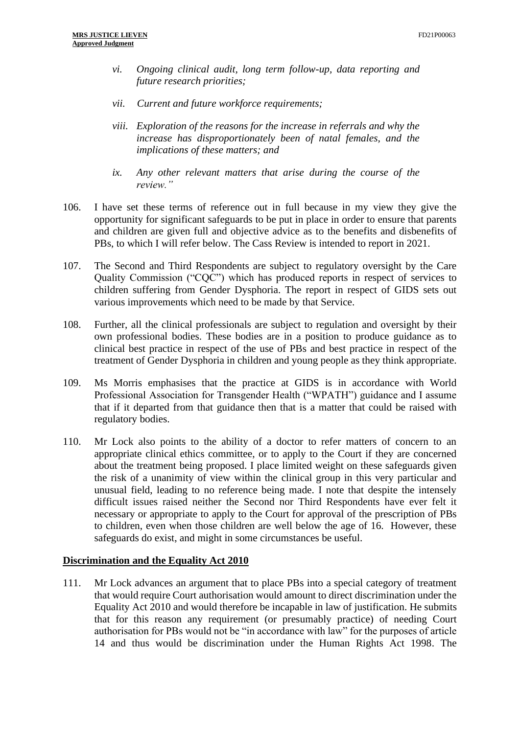- *vi. Ongoing clinical audit, long term follow-up, data reporting and future research priorities;*
- *vii. Current and future workforce requirements;*
- *viii. Exploration of the reasons for the increase in referrals and why the increase has disproportionately been of natal females, and the implications of these matters; and*
- *ix. Any other relevant matters that arise during the course of the review."*
- 106. I have set these terms of reference out in full because in my view they give the opportunity for significant safeguards to be put in place in order to ensure that parents and children are given full and objective advice as to the benefits and disbenefits of PBs, to which I will refer below. The Cass Review is intended to report in 2021.
- 107. The Second and Third Respondents are subject to regulatory oversight by the Care Quality Commission ("CQC") which has produced reports in respect of services to children suffering from Gender Dysphoria. The report in respect of GIDS sets out various improvements which need to be made by that Service.
- 108. Further, all the clinical professionals are subject to regulation and oversight by their own professional bodies. These bodies are in a position to produce guidance as to clinical best practice in respect of the use of PBs and best practice in respect of the treatment of Gender Dysphoria in children and young people as they think appropriate.
- 109. Ms Morris emphasises that the practice at GIDS is in accordance with World Professional Association for Transgender Health ("WPATH") guidance and I assume that if it departed from that guidance then that is a matter that could be raised with regulatory bodies.
- 110. Mr Lock also points to the ability of a doctor to refer matters of concern to an appropriate clinical ethics committee, or to apply to the Court if they are concerned about the treatment being proposed. I place limited weight on these safeguards given the risk of a unanimity of view within the clinical group in this very particular and unusual field, leading to no reference being made. I note that despite the intensely difficult issues raised neither the Second nor Third Respondents have ever felt it necessary or appropriate to apply to the Court for approval of the prescription of PBs to children, even when those children are well below the age of 16. However, these safeguards do exist, and might in some circumstances be useful.

#### **Discrimination and the Equality Act 2010**

111. Mr Lock advances an argument that to place PBs into a special category of treatment that would require Court authorisation would amount to direct discrimination under the Equality Act 2010 and would therefore be incapable in law of justification. He submits that for this reason any requirement (or presumably practice) of needing Court authorisation for PBs would not be "in accordance with law" for the purposes of article 14 and thus would be discrimination under the Human Rights Act 1998. The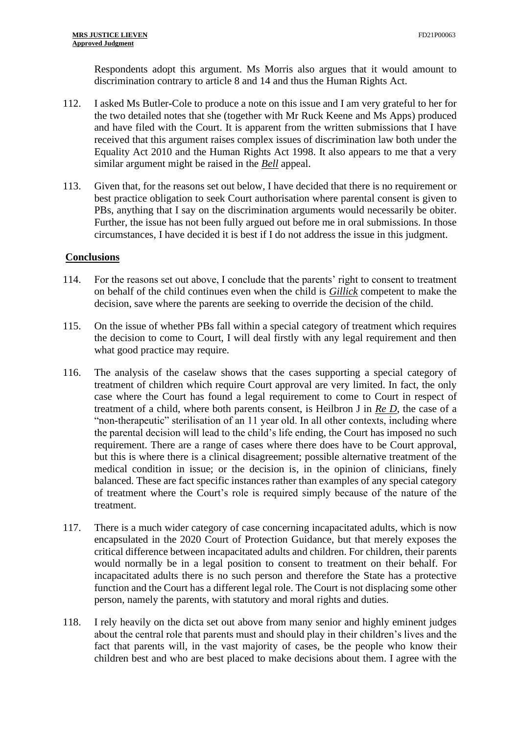Respondents adopt this argument. Ms Morris also argues that it would amount to discrimination contrary to article 8 and 14 and thus the Human Rights Act.

- 112. I asked Ms Butler-Cole to produce a note on this issue and I am very grateful to her for the two detailed notes that she (together with Mr Ruck Keene and Ms Apps) produced and have filed with the Court. It is apparent from the written submissions that I have received that this argument raises complex issues of discrimination law both under the Equality Act 2010 and the Human Rights Act 1998. It also appears to me that a very similar argument might be raised in the *Bell* appeal.
- 113. Given that, for the reasons set out below, I have decided that there is no requirement or best practice obligation to seek Court authorisation where parental consent is given to PBs, anything that I say on the discrimination arguments would necessarily be obiter. Further, the issue has not been fully argued out before me in oral submissions. In those circumstances, I have decided it is best if I do not address the issue in this judgment.

# **Conclusions**

- 114. For the reasons set out above, I conclude that the parents' right to consent to treatment on behalf of the child continues even when the child is *Gillick* competent to make the decision, save where the parents are seeking to override the decision of the child.
- 115. On the issue of whether PBs fall within a special category of treatment which requires the decision to come to Court, I will deal firstly with any legal requirement and then what good practice may require.
- 116. The analysis of the caselaw shows that the cases supporting a special category of treatment of children which require Court approval are very limited. In fact, the only case where the Court has found a legal requirement to come to Court in respect of treatment of a child, where both parents consent, is Heilbron J in *Re D*, the case of a "non-therapeutic" sterilisation of an 11 year old. In all other contexts, including where the parental decision will lead to the child's life ending, the Court has imposed no such requirement. There are a range of cases where there does have to be Court approval, but this is where there is a clinical disagreement; possible alternative treatment of the medical condition in issue; or the decision is, in the opinion of clinicians, finely balanced. These are fact specific instances rather than examples of any special category of treatment where the Court's role is required simply because of the nature of the treatment.
- 117. There is a much wider category of case concerning incapacitated adults, which is now encapsulated in the 2020 Court of Protection Guidance, but that merely exposes the critical difference between incapacitated adults and children. For children, their parents would normally be in a legal position to consent to treatment on their behalf. For incapacitated adults there is no such person and therefore the State has a protective function and the Court has a different legal role. The Court is not displacing some other person, namely the parents, with statutory and moral rights and duties.
- 118. I rely heavily on the dicta set out above from many senior and highly eminent judges about the central role that parents must and should play in their children's lives and the fact that parents will, in the vast majority of cases, be the people who know their children best and who are best placed to make decisions about them. I agree with the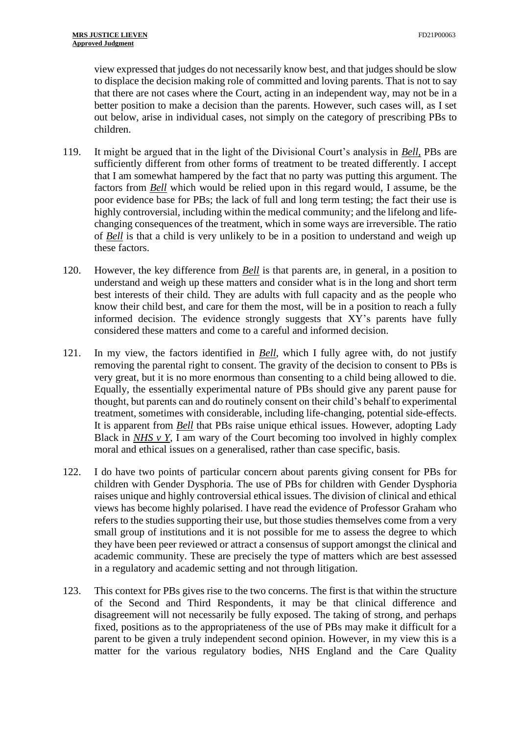view expressed that judges do not necessarily know best, and that judges should be slow to displace the decision making role of committed and loving parents. That is not to say that there are not cases where the Court, acting in an independent way, may not be in a better position to make a decision than the parents. However, such cases will, as I set out below, arise in individual cases, not simply on the category of prescribing PBs to children.

- 119. It might be argued that in the light of the Divisional Court's analysis in *Bell,* PBs are sufficiently different from other forms of treatment to be treated differently. I accept that I am somewhat hampered by the fact that no party was putting this argument. The factors from *Bell* which would be relied upon in this regard would, I assume, be the poor evidence base for PBs; the lack of full and long term testing; the fact their use is highly controversial, including within the medical community; and the lifelong and lifechanging consequences of the treatment, which in some ways are irreversible. The ratio of *Bell* is that a child is very unlikely to be in a position to understand and weigh up these factors.
- 120. However, the key difference from *Bell* is that parents are, in general, in a position to understand and weigh up these matters and consider what is in the long and short term best interests of their child. They are adults with full capacity and as the people who know their child best, and care for them the most, will be in a position to reach a fully informed decision. The evidence strongly suggests that XY's parents have fully considered these matters and come to a careful and informed decision.
- 121. In my view, the factors identified in *Bell*, which I fully agree with, do not justify removing the parental right to consent. The gravity of the decision to consent to PBs is very great, but it is no more enormous than consenting to a child being allowed to die. Equally, the essentially experimental nature of PBs should give any parent pause for thought, but parents can and do routinely consent on their child's behalf to experimental treatment, sometimes with considerable, including life-changing, potential side-effects. It is apparent from *Bell* that PBs raise unique ethical issues. However, adopting Lady Black in *NHS v Y*, I am wary of the Court becoming too involved in highly complex moral and ethical issues on a generalised, rather than case specific, basis.
- 122. I do have two points of particular concern about parents giving consent for PBs for children with Gender Dysphoria. The use of PBs for children with Gender Dysphoria raises unique and highly controversial ethical issues. The division of clinical and ethical views has become highly polarised. I have read the evidence of Professor Graham who refers to the studies supporting their use, but those studies themselves come from a very small group of institutions and it is not possible for me to assess the degree to which they have been peer reviewed or attract a consensus of support amongst the clinical and academic community. These are precisely the type of matters which are best assessed in a regulatory and academic setting and not through litigation.
- 123. This context for PBs gives rise to the two concerns. The first is that within the structure of the Second and Third Respondents, it may be that clinical difference and disagreement will not necessarily be fully exposed. The taking of strong, and perhaps fixed, positions as to the appropriateness of the use of PBs may make it difficult for a parent to be given a truly independent second opinion. However, in my view this is a matter for the various regulatory bodies, NHS England and the Care Quality